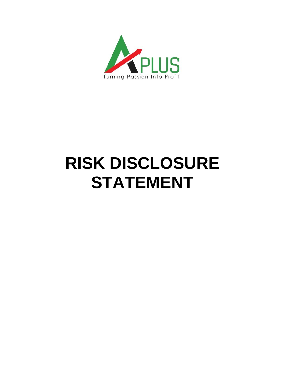

## **RISK DISCLOSURE STATEMENT**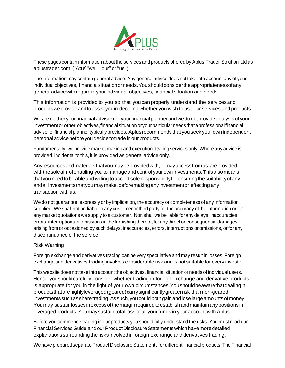

These pages contain information about the services and products offered by Aplus Trader Solution Ltd as aplustrader.com ("Aplus" "we", "our" or "us").

The information may contain general advice. Any general advice does not take into account any of your individual objectives, financialsituationorneeds.Youshouldconsidertheappropriatenessofany generaladvicewithregardtoyourindividual objectives, financial situation and needs.

This information is provided to you so that you can properly understand the servicesand productsweprovideandtoassistyouin deciding whether you wish to use our services and products.

Weareneitheryourfinancialadvisornoryourfinancialplannerandwedonotprovideanalysisofyour investmentorother objectives,financial situationor yourparticularneedsthataprofessionalfinancial adviser or financial planner typically provides. Aplus recommends that you seek your own independent personal advice before you decide to trade in our products.

Fundamentally, we provide market making and execution dealing services only. Where any advice is provided, incidental to this, it is provided as general advice only.

Anyresourcesandmaterialsthatyoumaybeprovidedwith,ormayaccessfromus,areprovided withthesoleaimofenabling you to manageand control your own investments.This alsomeans that you need to be able and willing to accept sole responsibility for ensuring the suitability of any andallinvestmentsthatyoumaymake,beforemakinganyinvestmentor effecting any transaction with us.

We do not guarantee, expressly or by implication, the accuracy or completeness of any information supplied. We shall not be liable to any customer or third party for the accuracy of the information or for any market quotations we supply to a customer. Nor, shall we be liable for any delays, inaccuracies, errors, interruptions or omissions in the furnishing thereof, for any direct or consequential damages arising from or occasioned by such delays, inaccuracies, errors, interruptions or omissions, or for any discontinuance of the service.

## Risk Warning

Foreign exchange and derivatives trading can be very speculative and may result in losses. Foreign exchange and derivatives trading involves considerable risk and is not suitable for every investor.

This website does not take into account the objectives, financial situation or needs of individual users. Hence, you should carefully consider whether trading in foreign exchange and derivative products is appropriate for you in the light of your own circumstances.Youshouldbeawarethatdealingin productsthatarehighlyleveraged(geared)carrysignificantlygreaterrisk thannon-geared investments such as share trading. As such, you could both gain and lose large amounts of money. Youmay sustainlossesinexcessofthemarginrequiredtoestablishandmaintainanypositionsin leveragedproducts.Youmaysustain total loss of all your funds in your account with Aplus.

Before you commence trading in our products you should fully understand the risks. You must read our Financial Services Guide and our Product Disclosure Statements which have more detailed explanationssurroundingtherisks involvedinforeign exchange and derivatives trading.

We have prepared separate Product Disclosure Statements for different financial products.The Financial